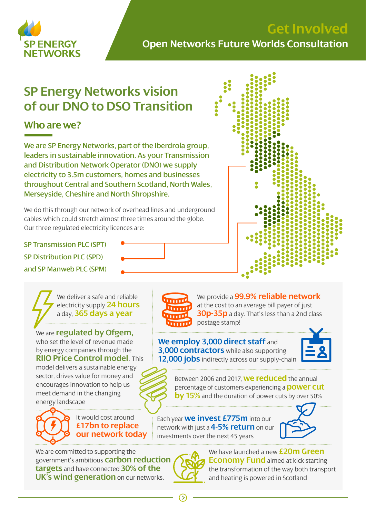

# **Get Involved Open Networks Future Worlds Consultation**

# **SP Energy Networks vision of our DNO to DSO Transition**

### **Who are we?**

We are SP Energy Networks, part of the Iberdrola group, leaders in sustainable innovation. As your Transmission and Distribution Network Operator (DNO) we supply electricity to 3.5m customers, homes and businesses throughout Central and Southern Scotland, North Wales, Merseyside, Cheshire and North Shropshire.

We do this through our network of overhead lines and underground cables which could stretch almost three times around the globe. Our three regulated electricity licences are:

SP Transmission PLC (SPT)

SP Distribution PLC (SPD)

and SP Manweb PLC (SPM)

We deliver a safe and reliable electricity supply **24 hours** a day, **365 days a year**

We are **regulated by Ofgem,** who set the level of revenue made by energy companies through the **RIIO Price Control model**. This model delivers a sustainable energy sector, drives value for money and encourages innovation to help us meet demand in the changing energy landscape



It would cost around **£17bn to replace our network today**

We are committed to supporting the government's ambitious **carbon reduction targets** and have connected **30% of the UK's wind generation** on our networks.



We provide a **99.9% reliable network** at the cost to an average bill payer of just **30p-35p** a day. That's less than a 2nd class postage stamp!

#### **We employ 3,000 direct staff** and **3,000 contractors** while also supporting **12,000 jobs** indirectly across our supply-chain



Between 2006 and 2017, **we reduced** the annual percentage of customers experiencing a **power cut by 15%** and the duration of power cuts by over 50%

Each year **we invest £775m** into our network with just a **4-5% return** on our investments over the next 45 years





We have launched a new **£20m Green Economy Fund** aimed at kick starting the transformation of the way both transport and heating is powered in Scotland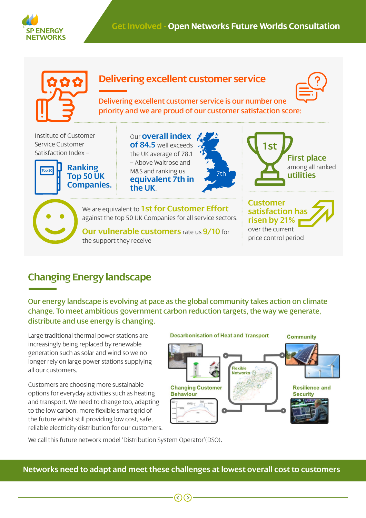



# **Changing Energy landscape**

Our energy landscape is evolving at pace as the global community takes action on climate change. To meet ambitious government carbon reduction targets, the way we generate, distribute and use energy is changing.

Large traditional thermal power stations are increasingly being replaced by renewable generation such as solar and wind so we no longer rely on large power stations supplying all our customers.

Customers are choosing more sustainable options for everyday activities such as heating and transport. We need to change too, adapting to the low carbon, more flexible smart grid of the future whilst still providing low cost, safe, reliable electricity distribution for our customers.



We call this future network model 'Distribution System Operator'(DSO).

**Networks need to adapt and meet these challenges at lowest overall cost to customers**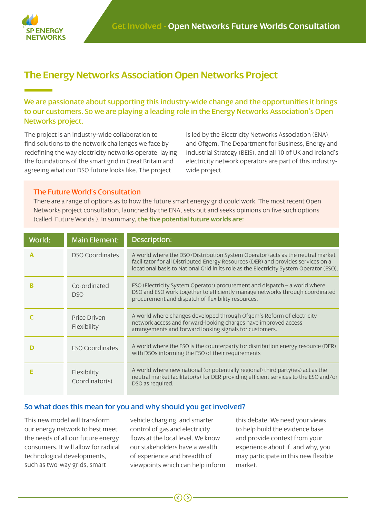

### **The Energy Networks Association Open Networks Project**

We are passionate about supporting this industry-wide change and the opportunities it brings to our customers. So we are playing a leading role in the Energy Networks Association's Open Networks project.

The project is an industry-wide collaboration to find solutions to the network challenges we face by redefining the way electricity networks operate, laying the foundations of the smart grid in Great Britain and agreeing what our DSO future looks like. The project

is led by the Electricity Networks Association (ENA), and Ofgem, The Department for Business, Energy and Industrial Strategy (BEIS), and all 10 of UK and Ireland's electricity network operators are part of this industrywide project.

#### The Future World's Consultation

There are a range of options as to how the future smart energy grid could work. The most recent Open Networks project consultation, launched by the ENA, sets out and seeks opinions on five such options (called 'Future Worlds'). In summary**, the five potential future worlds are:** 

| World: | <b>Main Element:</b>          | Description:                                                                                                                                                                                                                                                    |
|--------|-------------------------------|-----------------------------------------------------------------------------------------------------------------------------------------------------------------------------------------------------------------------------------------------------------------|
| Α      | <b>DSO Coordinates</b>        | A world where the DSO (Distribution System Operator) acts as the neutral market<br>facilitator for all Distributed Energy Resources (DER) and provides services on a<br>locational basis to National Grid in its role as the Electricity System Operator (ESO). |
|        | Co-ordinated<br>DSO           | ESO (Electricity System Operator) procurement and dispatch – a world where<br>DSO and ESO work together to efficiently manage networks through coordinated<br>procurement and dispatch of flexibility resources.                                                |
|        | Price Driven<br>Flexibility   | A world where changes developed through Ofgem's Reform of electricity<br>network access and forward-looking charges have improved access<br>arrangements and forward looking signals for customers.                                                             |
|        | <b>ESO Coordinates</b>        | A world where the ESO is the counterparty for distribution energy resource (DER)<br>with DSOs informing the ESO of their requirements                                                                                                                           |
|        | Flexibility<br>Coordinator(s) | A world where new national (or potentially regional) third party(ies) act as the<br>neutral market facilitator(s) for DER providing efficient services to the ESO and/or<br>DSO as required.                                                                    |

#### So what does this mean for you and why should you get involved?

This new model will transform our energy network to best meet the needs of all our future energy consumers. It will allow for radical technological developments, such as two-way grids, smart

vehicle charging, and smarter control of gas and electricity flows at the local level. We know our stakeholders have a wealth of experience and breadth of viewpoints which can help inform this debate. We need your views to help build the evidence base and provide context from your experience about if, and why, you may participate in this new flexible market.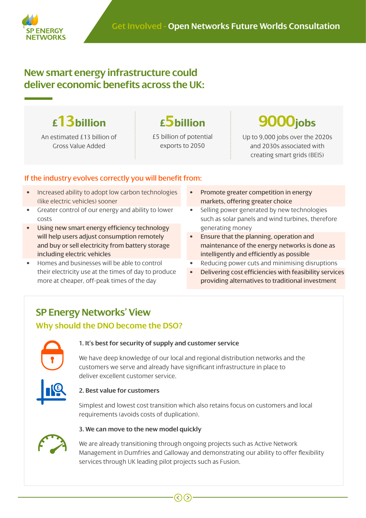

### **New smart energy infrastructure could deliver economic benefits across the UK:**

An estimated £13 billion of Gross Value Added

£5 billion of potential exports to 2050



Up to 9,000 jobs over the 2020s and 2030s associated with creating smart grids (BEIS)

#### If the industry evolves correctly you will benefit from:

- Increased ability to adopt low carbon technologies (like electric vehicles) sooner
- Greater control of our energy and ability to lower costs
- Using new smart energy efficiency technology will help users adjust consumption remotely and buy or sell electricity from battery storage including electric vehicles
- Homes and businesses will be able to control their electricity use at the times of day to produce more at cheaper, off-peak times of the day
- Promote greater competition in energy markets, offering greater choice
- Selling power generated by new technologies such as solar panels and wind turbines, therefore generating money
- Ensure that the planning, operation and maintenance of the energy networks is done as intelligently and efficiently as possible
- Reducing power cuts and minimising disruptions
- Delivering cost efficiencies with feasibility services providing alternatives to traditional investment

## **SP Energy Networks' View**

#### **Why should the DNO become the DSO?**



**£**

#### **1. It's best for security of supply and customer service**

We have deep knowledge of our local and regional distribution networks and the customers we serve and already have significant infrastructure in place to deliver excellent customer service.

#### **2. Best value for customers**

Simplest and lowest cost transition which also retains focus on customers and local requirements (avoids costs of duplication).



#### **3. We can move to the new model quickly**

We are already transitioning through ongoing projects such as Active Network Management in Dumfries and Galloway and demonstrating our ability to offer flexibility services through UK leading pilot projects such as Fusion.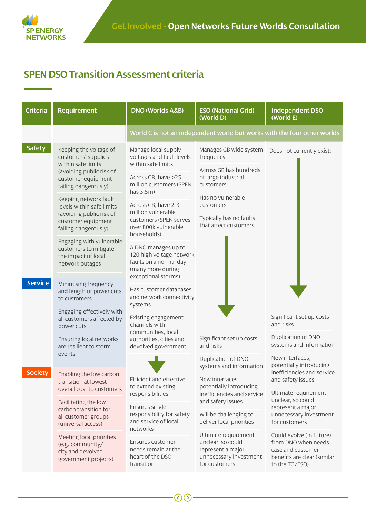

# **SPEN DSO Transition Assessment criteria**

| <b>Criteria</b>                  | <b>Requirement</b>                                                                                                                            | <b>DNO (Worlds A&amp;B)</b>                                                                                           | <b>ESO (National Grid)</b><br>(World D)                                                                   | <b>Independent DSO</b><br>(World E)                                                                                   |  |
|----------------------------------|-----------------------------------------------------------------------------------------------------------------------------------------------|-----------------------------------------------------------------------------------------------------------------------|-----------------------------------------------------------------------------------------------------------|-----------------------------------------------------------------------------------------------------------------------|--|
|                                  |                                                                                                                                               |                                                                                                                       |                                                                                                           | World C is not an independent world but works with the four other worlds                                              |  |
| <b>Safety</b>                    | Keeping the voltage of<br>customers' supplies<br>within safe limits<br>(avoiding public risk of<br>customer equipment<br>failing dangerously) | Manage local supply<br>voltages and fault levels<br>within safe limits                                                | Manages GB wide system<br>frequency                                                                       | Does not currently exist:                                                                                             |  |
|                                  |                                                                                                                                               | Across GB, have >25<br>million customers (SPEN<br>has 3.5m)                                                           | Across GB has hundreds<br>of large industrial<br>customers                                                |                                                                                                                       |  |
|                                  | Keeping network fault<br>levels within safe limits<br>(avoiding public risk of<br>customer equipment<br>failing dangerously)                  | Across GB, have 2-3<br>million vulnerable<br>customers (SPEN serves<br>over 800k vulnerable<br>households)            | Has no vulnerable<br>customers                                                                            |                                                                                                                       |  |
|                                  |                                                                                                                                               |                                                                                                                       | Typically has no faults<br>that affect customers                                                          |                                                                                                                       |  |
|                                  | Engaging with vulnerable<br>customers to mitigate<br>the impact of local<br>network outages                                                   | A DNO manages up to<br>120 high voltage network<br>faults on a normal day<br>(many more during<br>exceptional storms) |                                                                                                           |                                                                                                                       |  |
| <b>Service</b><br><b>Society</b> | Minimising frequency<br>and length of power cuts<br>to customers                                                                              | Has customer databases<br>and network connectivity<br>systems                                                         |                                                                                                           |                                                                                                                       |  |
|                                  | Engaging effectively with<br>all customers affected by<br>power cuts                                                                          | Existing engagement<br>channels with                                                                                  |                                                                                                           | Significant set up costs<br>and risks                                                                                 |  |
|                                  | Ensuring local networks<br>are resilient to storm<br>events                                                                                   | communities, local<br>authorities, cities and<br>devolved government                                                  | Significant set up costs<br>and risks                                                                     | Duplication of DNO<br>systems and information                                                                         |  |
|                                  |                                                                                                                                               |                                                                                                                       | Duplication of DNO<br>systems and information                                                             | New interfaces,<br>potentially introducing                                                                            |  |
|                                  | Enabling the low carbon<br>transition at lowest                                                                                               | Efficient and effective<br>to extend existing                                                                         | New interfaces<br>potentially introducing<br>inefficiencies and service<br>and safety issues              | inefficiencies and service<br>and safety issues                                                                       |  |
|                                  | overall cost to customers<br>Facilitating the low<br>carbon transition for<br>all customer groups<br>(universal access)                       | responsibilities                                                                                                      |                                                                                                           | Ultimate requirement<br>unclear, so could                                                                             |  |
|                                  |                                                                                                                                               | Ensures single<br>responsibility for safety<br>and service of local<br>networks                                       | Will be challenging to<br>deliver local priorities                                                        | represent a major<br>unnecessary investment<br>for customers                                                          |  |
|                                  | Meeting local priorities<br>(e.g. community/<br>city and devolved<br>government projects)                                                     | Ensures customer<br>needs remain at the<br>heart of the DSO<br>transition                                             | Ultimate requirement<br>unclear, so could<br>represent a major<br>unnecessary investment<br>for customers | Could evolve (in future)<br>from DNO when needs<br>case and customer<br>benefits are clear (similar<br>to the TO/ESO) |  |